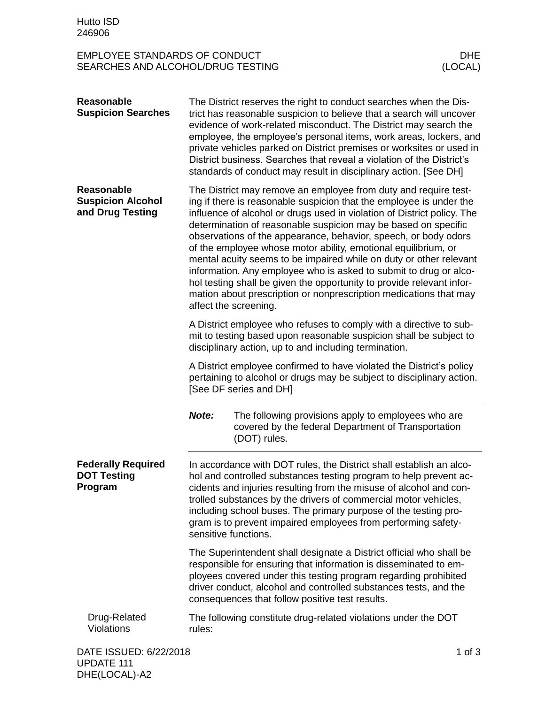## EMPLOYEE STANDARDS OF CONDUCT DHE SEARCHES AND ALCOHOL/DRUG TESTING

| <b>Reasonable</b><br><b>Suspicion Searches</b>                    |                                                                                                                                                                                                                                                                                                                                                                                                                                               | The District reserves the right to conduct searches when the Dis-<br>trict has reasonable suspicion to believe that a search will uncover<br>evidence of work-related misconduct. The District may search the<br>employee, the employee's personal items, work areas, lockers, and<br>private vehicles parked on District premises or worksites or used in<br>District business. Searches that reveal a violation of the District's<br>standards of conduct may result in disciplinary action. [See DH]                                                                                                                                                                                                           |          |
|-------------------------------------------------------------------|-----------------------------------------------------------------------------------------------------------------------------------------------------------------------------------------------------------------------------------------------------------------------------------------------------------------------------------------------------------------------------------------------------------------------------------------------|-------------------------------------------------------------------------------------------------------------------------------------------------------------------------------------------------------------------------------------------------------------------------------------------------------------------------------------------------------------------------------------------------------------------------------------------------------------------------------------------------------------------------------------------------------------------------------------------------------------------------------------------------------------------------------------------------------------------|----------|
| <b>Reasonable</b><br><b>Suspicion Alcohol</b><br>and Drug Testing | affect the screening.                                                                                                                                                                                                                                                                                                                                                                                                                         | The District may remove an employee from duty and require test-<br>ing if there is reasonable suspicion that the employee is under the<br>influence of alcohol or drugs used in violation of District policy. The<br>determination of reasonable suspicion may be based on specific<br>observations of the appearance, behavior, speech, or body odors<br>of the employee whose motor ability, emotional equilibrium, or<br>mental acuity seems to be impaired while on duty or other relevant<br>information. Any employee who is asked to submit to drug or alco-<br>hol testing shall be given the opportunity to provide relevant infor-<br>mation about prescription or nonprescription medications that may |          |
|                                                                   | A District employee who refuses to comply with a directive to sub-<br>mit to testing based upon reasonable suspicion shall be subject to<br>disciplinary action, up to and including termination.                                                                                                                                                                                                                                             |                                                                                                                                                                                                                                                                                                                                                                                                                                                                                                                                                                                                                                                                                                                   |          |
|                                                                   |                                                                                                                                                                                                                                                                                                                                                                                                                                               | A District employee confirmed to have violated the District's policy<br>pertaining to alcohol or drugs may be subject to disciplinary action.<br>[See DF series and DH]                                                                                                                                                                                                                                                                                                                                                                                                                                                                                                                                           |          |
|                                                                   | Note:                                                                                                                                                                                                                                                                                                                                                                                                                                         | The following provisions apply to employees who are<br>covered by the federal Department of Transportation<br>(DOT) rules.                                                                                                                                                                                                                                                                                                                                                                                                                                                                                                                                                                                        |          |
| <b>Federally Required</b><br><b>DOT Testing</b><br>Program        | In accordance with DOT rules, the District shall establish an alco-<br>hol and controlled substances testing program to help prevent ac-<br>cidents and injuries resulting from the misuse of alcohol and con-<br>trolled substances by the drivers of commercial motor vehicles,<br>including school buses. The primary purpose of the testing pro-<br>gram is to prevent impaired employees from performing safety-<br>sensitive functions. |                                                                                                                                                                                                                                                                                                                                                                                                                                                                                                                                                                                                                                                                                                                   |          |
|                                                                   | The Superintendent shall designate a District official who shall be<br>responsible for ensuring that information is disseminated to em-<br>ployees covered under this testing program regarding prohibited<br>driver conduct, alcohol and controlled substances tests, and the<br>consequences that follow positive test results.                                                                                                             |                                                                                                                                                                                                                                                                                                                                                                                                                                                                                                                                                                                                                                                                                                                   |          |
| Drug-Related<br>Violations                                        | The following constitute drug-related violations under the DOT<br>rules:                                                                                                                                                                                                                                                                                                                                                                      |                                                                                                                                                                                                                                                                                                                                                                                                                                                                                                                                                                                                                                                                                                                   |          |
| DATE ISSUED: 6/22/2018                                            |                                                                                                                                                                                                                                                                                                                                                                                                                                               |                                                                                                                                                                                                                                                                                                                                                                                                                                                                                                                                                                                                                                                                                                                   | 1 of $3$ |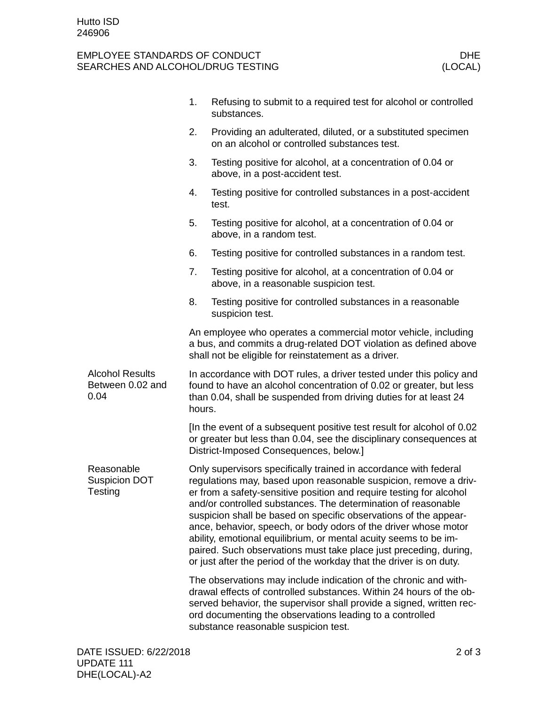## EMPLOYEE STANDARDS OF CONDUCT DHE SEARCHES AND ALCOHOL/DRUG TESTING

|                                                    | 1.                                                                                                                                                                                                                                                                                                                                                                                                                                                                                                                                                                                                                                  | Refusing to submit to a required test for alcohol or controlled<br>substances.                                                                                                                                                                                                                                      |  |  |
|----------------------------------------------------|-------------------------------------------------------------------------------------------------------------------------------------------------------------------------------------------------------------------------------------------------------------------------------------------------------------------------------------------------------------------------------------------------------------------------------------------------------------------------------------------------------------------------------------------------------------------------------------------------------------------------------------|---------------------------------------------------------------------------------------------------------------------------------------------------------------------------------------------------------------------------------------------------------------------------------------------------------------------|--|--|
|                                                    | 2.                                                                                                                                                                                                                                                                                                                                                                                                                                                                                                                                                                                                                                  | Providing an adulterated, diluted, or a substituted specimen<br>on an alcohol or controlled substances test.                                                                                                                                                                                                        |  |  |
|                                                    | 3.                                                                                                                                                                                                                                                                                                                                                                                                                                                                                                                                                                                                                                  | Testing positive for alcohol, at a concentration of 0.04 or<br>above, in a post-accident test.                                                                                                                                                                                                                      |  |  |
|                                                    | 4.                                                                                                                                                                                                                                                                                                                                                                                                                                                                                                                                                                                                                                  | Testing positive for controlled substances in a post-accident<br>test.                                                                                                                                                                                                                                              |  |  |
|                                                    | 5.                                                                                                                                                                                                                                                                                                                                                                                                                                                                                                                                                                                                                                  | Testing positive for alcohol, at a concentration of 0.04 or<br>above, in a random test.                                                                                                                                                                                                                             |  |  |
|                                                    | 6.                                                                                                                                                                                                                                                                                                                                                                                                                                                                                                                                                                                                                                  | Testing positive for controlled substances in a random test.                                                                                                                                                                                                                                                        |  |  |
|                                                    | 7.                                                                                                                                                                                                                                                                                                                                                                                                                                                                                                                                                                                                                                  | Testing positive for alcohol, at a concentration of 0.04 or<br>above, in a reasonable suspicion test.                                                                                                                                                                                                               |  |  |
|                                                    | 8.                                                                                                                                                                                                                                                                                                                                                                                                                                                                                                                                                                                                                                  | Testing positive for controlled substances in a reasonable<br>suspicion test.                                                                                                                                                                                                                                       |  |  |
|                                                    | An employee who operates a commercial motor vehicle, including<br>a bus, and commits a drug-related DOT violation as defined above<br>shall not be eligible for reinstatement as a driver.                                                                                                                                                                                                                                                                                                                                                                                                                                          |                                                                                                                                                                                                                                                                                                                     |  |  |
| <b>Alcohol Results</b><br>Between 0.02 and<br>0.04 | In accordance with DOT rules, a driver tested under this policy and<br>found to have an alcohol concentration of 0.02 or greater, but less<br>than 0.04, shall be suspended from driving duties for at least 24<br>hours.                                                                                                                                                                                                                                                                                                                                                                                                           |                                                                                                                                                                                                                                                                                                                     |  |  |
|                                                    |                                                                                                                                                                                                                                                                                                                                                                                                                                                                                                                                                                                                                                     | [In the event of a subsequent positive test result for alcohol of 0.02<br>or greater but less than 0.04, see the disciplinary consequences at<br>District-Imposed Consequences, below.]                                                                                                                             |  |  |
| Reasonable<br><b>Suspicion DOT</b><br>Testing      | Only supervisors specifically trained in accordance with federal<br>regulations may, based upon reasonable suspicion, remove a driv-<br>er from a safety-sensitive position and require testing for alcohol<br>and/or controlled substances. The determination of reasonable<br>suspicion shall be based on specific observations of the appear-<br>ance, behavior, speech, or body odors of the driver whose motor<br>ability, emotional equilibrium, or mental acuity seems to be im-<br>paired. Such observations must take place just preceding, during,<br>or just after the period of the workday that the driver is on duty. |                                                                                                                                                                                                                                                                                                                     |  |  |
|                                                    |                                                                                                                                                                                                                                                                                                                                                                                                                                                                                                                                                                                                                                     | The observations may include indication of the chronic and with-<br>drawal effects of controlled substances. Within 24 hours of the ob-<br>served behavior, the supervisor shall provide a signed, written rec-<br>ord documenting the observations leading to a controlled<br>substance reasonable suspicion test. |  |  |